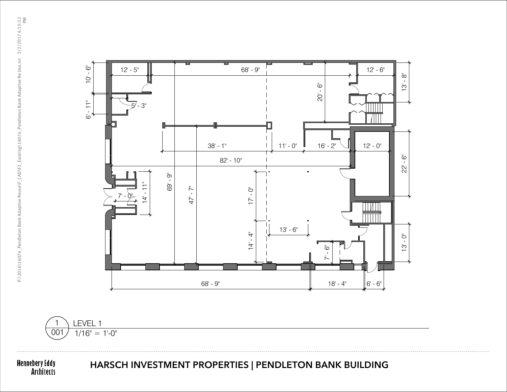

Hennebery Eddy<br>Architects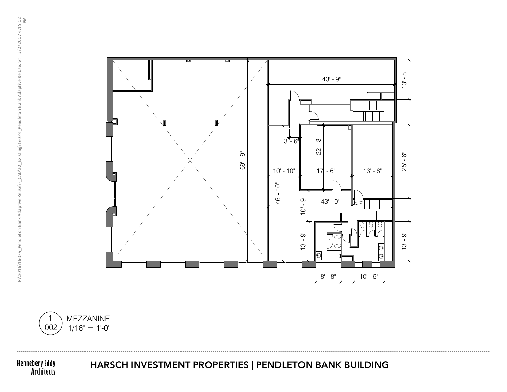



## HARSCH INVESTMENT PROPERTIES | PENDLETON BANK BUILDING

Hennebery Eddy<br>Architects